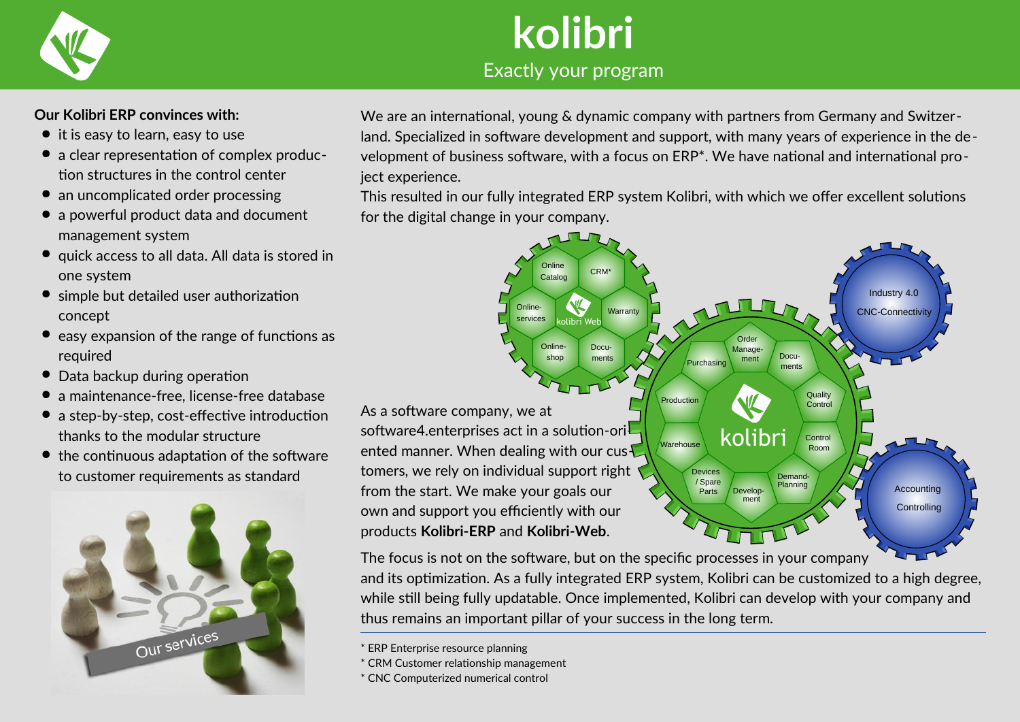

## **kolibri** Exactly your program

#### **Our Kolibri ERP convinces with:**

- it is easy to learn, easy to use
- a clear representation of complex production structures in the control center
- an uncomplicated order processing
- a powerful product data and document management system
- quick access to all data. All data is stored in one system
- simple but detailed user authorization concept
- easy expansion of the range of functions as required
- Data backup during operation
- a maintenance-free, license-free database
- a step-by-step, cost-effective introduction thanks to the modular structure
- the continuous adaptation of the software to customer requirements as standard



We are an international, young & dynamic company with partners from Germany and Switzerland. Specialized in software development and support, with many years of experience in the development of business software, with a focus on ERP\*. We have national and international project experience.

This resulted in our fully integrated ERP system Kolibri, with which we offer excellent solutions for the digital change in your company.



The focus is not on the software, but on the specific processes in your company and its optimization. As a fully integrated ERP system, Kolibri can be customized to a high degree, while still being fully updatable. Once implemented, Kolibri can develop with your company and thus remains an important pillar of your success in the long term.

- \* CRM Customer relationship management
- \* CNC Computerized numerical control

<sup>\*</sup> ERP Enterprise resource planning